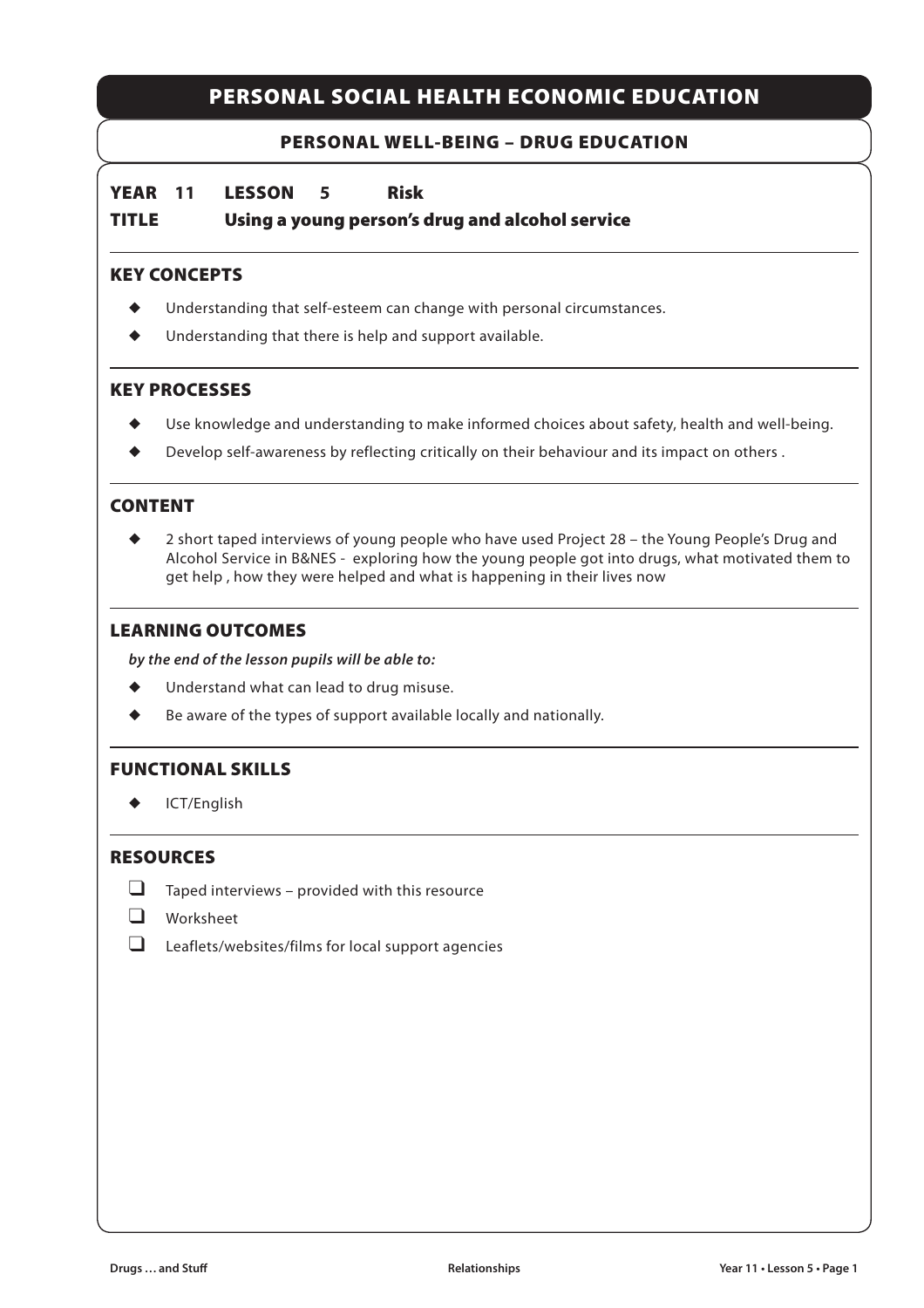## **PERSONAL SOCIAL HEALTH ECONOMIC EDUCATION**

### **PERSONAL WELL-BEING – DRUG EDUCATION**

**YEAR 11 LESSON 5 Risk**

**TITLE Using a young person's drug and alcohol service**

#### **KEY CONCEPTS**

- Understanding that self-esteem can change with personal circumstances.
- Understanding that there is help and support available.

#### **KEY PROCESSES**

- Use knowledge and understanding to make informed choices about safety, health and well-being.
- ◆ Develop self-awareness by reflecting critically on their behaviour and its impact on others .

### **CONTENT**

2 short taped interviews of young people who have used Project 28 – the Young People's Drug and Alcohol Service in B&NES - exploring how the young people got into drugs, what motivated them to get help , how they were helped and what is happening in their lives now

#### **LEARNING OUTCOMES**

*by the end of the lesson pupils will be able to:*

- ◆ Understand what can lead to drug misuse.
- Be aware of the types of support available locally and nationally.

#### **FUNCTIONAL SKILLS**

◆ ICT/English

## **RESOURCES**

- $\Box$  Taped interviews provided with this resource
- ❑ Worksheet
- ❑ Leaflets/websites/films for local support agencies